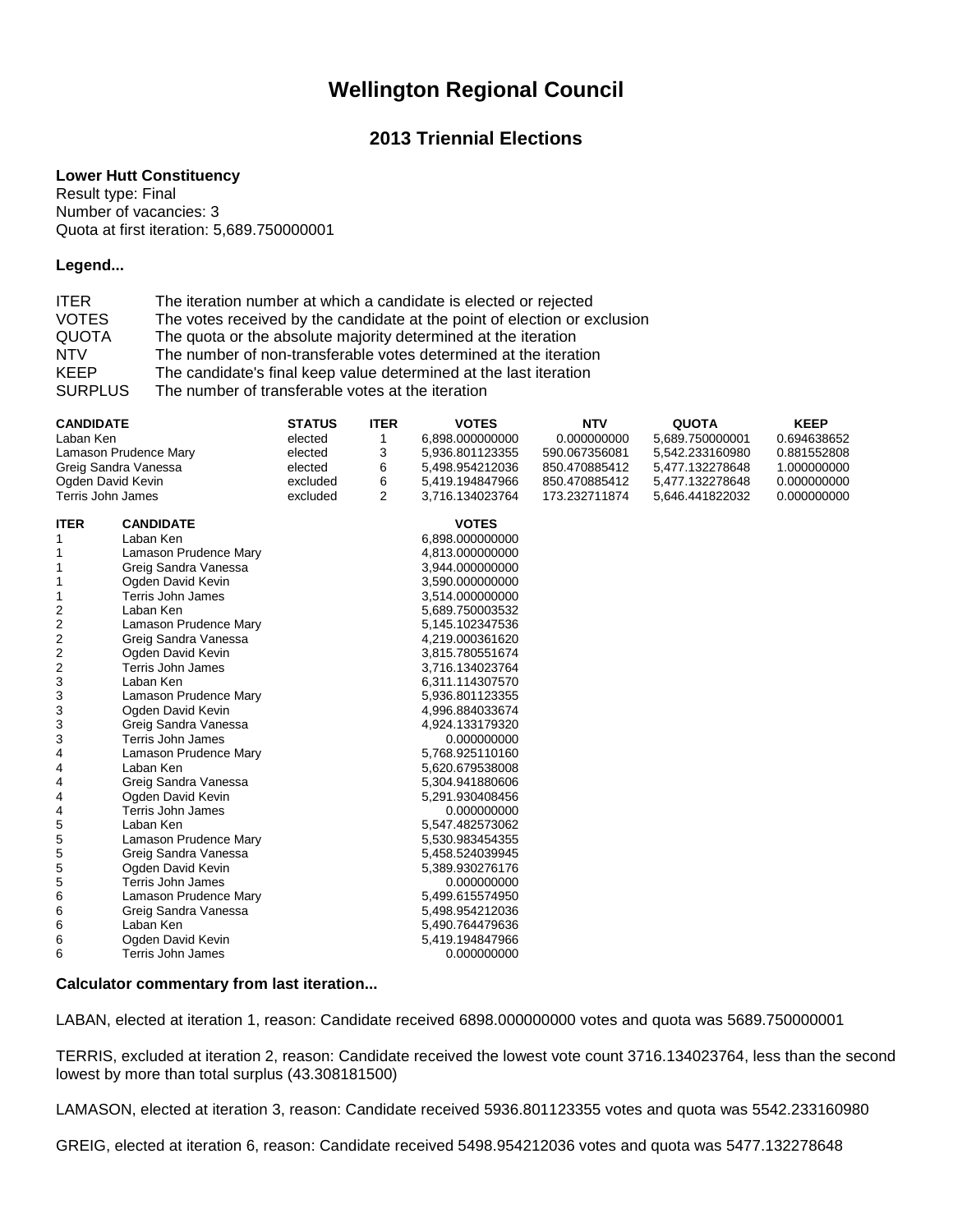# **Wellington Regional Council**

## **2013 Triennial Elections**

#### **Lower Hutt Constituency**

Result type: Final Number of vacancies: 3 Quota at first iteration: 5,689.750000001

#### **Legend...**

| <b>ITER</b>    | The iteration number at which a candidate is elected or rejected          |
|----------------|---------------------------------------------------------------------------|
| <b>VOTES</b>   | The votes received by the candidate at the point of election or exclusion |
| <b>QUOTA</b>   | The quota or the absolute majority determined at the iteration            |
| <b>NTV</b>     | The number of non-transferable votes determined at the iteration          |
| <b>KEEP</b>    | The candidate's final keep value determined at the last iteration         |
| <b>SURPLUS</b> | The number of transferable votes at the iteration                         |

| <b>CANDIDATE</b>      |                          | <b>STATUS</b> | <b>ITER</b> | <b>VOTES</b>    | <b>NTV</b>    | <b>QUOTA</b>    | <b>KEEP</b> |
|-----------------------|--------------------------|---------------|-------------|-----------------|---------------|-----------------|-------------|
| Laban Ken             |                          | elected       | 1           | 6,898.000000000 | 0.000000000   | 5,689.750000001 | 0.694638652 |
| Lamason Prudence Mary |                          | elected       | 3           | 5,936.801123355 | 590.067356081 | 5,542.233160980 | 0.881552808 |
| Greig Sandra Vanessa  |                          | elected       | 6           | 5,498.954212036 | 850.470885412 | 5,477.132278648 | 1.000000000 |
| Ogden David Kevin     |                          | excluded      | 6           | 5,419.194847966 | 850.470885412 | 5,477.132278648 | 0.000000000 |
| Terris John James     |                          | excluded      | 2           | 3,716.134023764 | 173.232711874 | 5,646.441822032 | 0.000000000 |
| <b>ITER</b>           | <b>CANDIDATE</b>         |               |             | <b>VOTES</b>    |               |                 |             |
| 1                     | Laban Ken                |               |             | 6,898.000000000 |               |                 |             |
|                       | Lamason Prudence Mary    |               |             | 4,813.000000000 |               |                 |             |
|                       | Greig Sandra Vanessa     |               |             | 3,944.000000000 |               |                 |             |
| 1                     | Ogden David Kevin        |               |             | 3,590.000000000 |               |                 |             |
| 1                     | <b>Terris John James</b> |               |             | 3,514.000000000 |               |                 |             |
| 2                     | Laban Ken                |               |             | 5,689.750003532 |               |                 |             |
| 2                     | Lamason Prudence Mary    |               |             | 5,145.102347536 |               |                 |             |
| 2                     | Greig Sandra Vanessa     |               |             | 4,219.000361620 |               |                 |             |
| 2                     | Ogden David Kevin        |               |             | 3,815.780551674 |               |                 |             |
| 2                     | <b>Terris John James</b> |               |             | 3,716.134023764 |               |                 |             |
| 3                     | Laban Ken                |               |             | 6,311.114307570 |               |                 |             |
| 3                     | Lamason Prudence Mary    |               |             | 5,936.801123355 |               |                 |             |
| 3                     | Ogden David Kevin        |               |             | 4,996.884033674 |               |                 |             |
| 3                     | Greig Sandra Vanessa     |               |             | 4,924.133179320 |               |                 |             |
| 3                     | Terris John James        |               |             | 0.000000000     |               |                 |             |
| 4                     | Lamason Prudence Mary    |               |             | 5,768.925110160 |               |                 |             |
| 4                     | Laban Ken                |               |             | 5,620.679538008 |               |                 |             |
| 4                     | Greig Sandra Vanessa     |               |             | 5,304.941880606 |               |                 |             |
| 4                     | Ogden David Kevin        |               |             | 5,291.930408456 |               |                 |             |
| 4                     | Terris John James        |               |             | 0.000000000     |               |                 |             |
| 5                     | Laban Ken                |               |             | 5,547.482573062 |               |                 |             |
| 5                     | Lamason Prudence Mary    |               |             | 5,530.983454355 |               |                 |             |
| 5                     | Greig Sandra Vanessa     |               |             | 5,458.524039945 |               |                 |             |
| 5                     | Ogden David Kevin        |               |             | 5,389.930276176 |               |                 |             |
| 5                     | Terris John James        |               |             | 0.000000000     |               |                 |             |
| 6                     | Lamason Prudence Mary    |               |             | 5,499.615574950 |               |                 |             |
| 6                     | Greig Sandra Vanessa     |               |             | 5,498.954212036 |               |                 |             |
| 6                     | Laban Ken                |               |             | 5,490.764479636 |               |                 |             |
| 6                     | Ogden David Kevin        |               |             | 5,419.194847966 |               |                 |             |
| 6                     | Terris John James        |               |             | 0.000000000     |               |                 |             |

### **Calculator commentary from last iteration...**

LABAN, elected at iteration 1, reason: Candidate received 6898.000000000 votes and quota was 5689.750000001

TERRIS, excluded at iteration 2, reason: Candidate received the lowest vote count 3716.134023764, less than the second lowest by more than total surplus (43.308181500)

LAMASON, elected at iteration 3, reason: Candidate received 5936.801123355 votes and quota was 5542.233160980

GREIG, elected at iteration 6, reason: Candidate received 5498.954212036 votes and quota was 5477.132278648